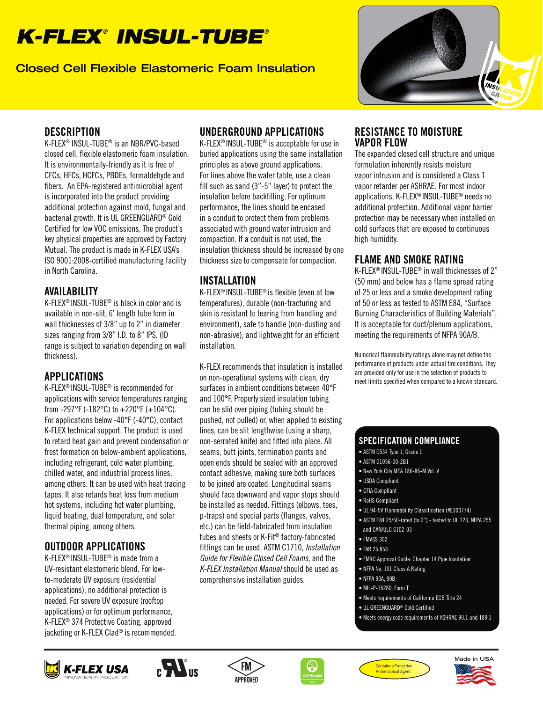# *K-FLEX*®  *INSUL-TUBE*®

Closed Cell Flexible Elastomeric Foam Insulation



#### **DESCRIPTION**

K-FLEX® INSUL-TUBE® is an NBR/PVC-based closed cell, flexible elastomeric foam insulation. It is environmentally-friendly as it is free of CFCs, HFCs, HCFCs, PBDEs, formaldehyde and fibers. An EPA-registered antimicrobial agent is incorporated into the product providing additional protection against mold, fungal and bacterial growth. It is UL GREENGUARD® Gold Certified for low VOC emissions. The product's key physical properties are approved by Factory Mutual. The product is made in K-FLEX USA's ISO 9001:2008-certified manufacturing facility in North Carolina.

#### AVAILABILITY

K-FLEX® INSUL-TUBE® is black in color and is available in non-slit, 6' length tube form in wall thicknesses of 3/8" up to 2" in diameter sizes ranging from 3/8" I.D. to 8" IPS. (ID range is subject to variation depending on wall thickness).

## APPLICATIONS

K-FLEX® INSUL-TUBE® is recommended for applications with service temperatures ranging from -297°F (-182°C) to  $+220$ °F (+104°C). For applications below -40°F (-40°C), contact K-FLEX technical support. The product is used to retard heat gain and prevent condensation or frost formation on below-ambient applications, including refrigerant, cold water plumbing, chilled water, and industrial process lines, among others. It can be used with heat tracing tapes. It also retards heat loss from medium hot systems, including hot water plumbing, liquid heating, dual temperature, and solar thermal piping, among others.

# OUTDOOR APPLICATIONS

K-FLEX® INSUL-TUBE® is made from a UV-resistant elastomeric blend. For lowto-moderate UV exposure (residential applications), no additional protection is needed. For severe UV exposure (rooftop applications) or for optimum performance, K-FLEX® 374 Protective Coating, approved jacketing or K-FLEX Clad® is recommended.

### UNDERGROUND APPLICATIONS

K-FLEX® INSUL-TUBE® is acceptable for use in buried applications using the same installation principles as above ground applications. For lines above the water table, use a clean fill such as sand (3"-5" layer) to protect the insulation before backfilling. For optimum performance, the lines should be encased in a conduit to protect them from problems associated with ground water intrusion and compaction. If a conduit is not used, the insulation thickness should be increased by one thickness size to compensate for compaction.

#### INSTALLATION

K-FLEX® INSUL-TUBE® is flexible (even at low temperatures), durable (non-fracturing and skin is resistant to tearing from handling and environment), safe to handle (non-dusting and non-abrasive), and lightweight for an efficient installation.

K-FLEX recommends that insulation is installed on non-operational systems with clean, dry surfaces in ambient conditions between 40°F and 100°F. Properly sized insulation tubing can be slid over piping (tubing should be pushed, not pulled) or, when applied to existing lines, can be slit lengthwise (using a sharp, non-serrated knife) and fitted into place. All seams, butt joints, termination points and open ends should be sealed with an approved contact adhesive, making sure both surfaces to be joined are coated. Longitudinal seams should face downward and vapor stops should be installed as needed. Fittings (elbows, tees, p-traps) and special parts (flanges, valves, etc.) can be field-fabricated from insulation tubes and sheets or K-Fit® factory-fabricated fittings can be used. ASTM C1710, Installation Guide for Flexible Closed Cell Foams, and the K-FLEX Installation Manual should be used as comprehensive installation guides.

#### RESISTANCE TO MOISTURE VAPOR FLOW

The expanded closed cell structure and unique formulation inherently resists moisture vapor intrusion and is considered a Class 1 vapor retarder per ASHRAE. For most indoor applications, K-FLEX® INSUL-TUBE® needs no additional protection. Additional vapor barrier protection may be necessary when installed on cold surfaces that are exposed to continuous high humidity.

## FLAME AND SMOKE RATING

K-FLEX® INSUL-TUBE® in wall thicknesses of 2" (50 mm) and below has a flame spread rating of 25 or less and a smoke development rating of 50 or less as tested to ASTM E84, "Surface Burning Characteristics of Building Materials". It is acceptable for duct/plenum applications, meeting the requirements of NFPA 90A/B.

Numerical flammability ratings alone may not define the performance of products under actual fire conditions. They are provided only for use in the selection of products to meet limits specified when compared to a known standard.

#### SPECIFICATION COMPLIANCE

- ASTM C534 Type 1, Grade 1
- ASTM D1056-00-2B1
- New York City MEA 186-86-M Vol. V
- USDA Compliant
- CFIA Compliant
- 
- ASTM E84 25/50-rated (to 2") tested to UL 723, NFPA 255
- FMVSS 302
- 
- FMRC Approval Guide: Chapter 14 Pipe Insulation
- NFPA No. 101 Class A Rating
- NFPA 90A, 90B
- MIL-P-15280, Form T
- Meets requirements of California ECB Title 24
- UL GREENGUARD® Gold Certified
- Meets energy code requirements of ASHRAE 90.1 and 189.1













• RoHS Compliant

- UL 94-5V Flammability Classification (#E300774)
- and CAN/ULC S102-03
- 
- FAR 25.853